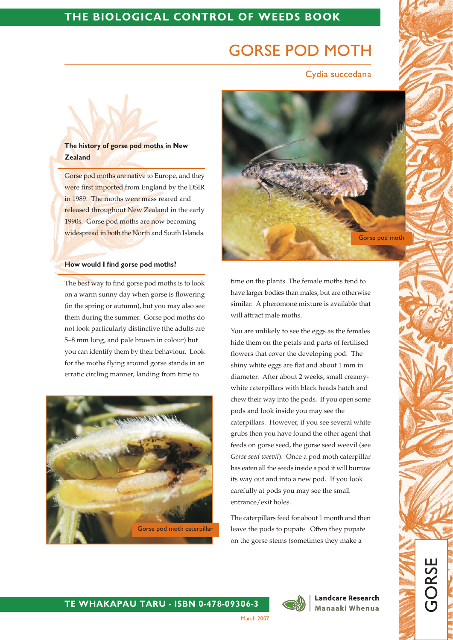# **GORSE POD MOTH**

Cydia succedana

# The history of gorse pod moths in New **Zealand**

Gorse pod moths are native to Europe, and they were first imported from England by the DSIR in 1989. The moths were mass reared and released throughout New Zealand in the early 1990s. Gorse pod moths are now becoming widespread in both the North and South Islands.

### How would I find gorse pod moths?

The best way to find gorse pod moths is to look on a warm sunny day when gorse is flowering (in the spring or autumn), but you may also see them during the summer. Gorse pod moths do not look particularly distinctive (the adults are 5-8 mm long, and pale brown in colour) but you can identify them by their behaviour. Look for the moths flying around gorse stands in an erratic circling manner, landing from time to





time on the plants. The female moths tend to have larger bodies than males, but are otherwise similar. A pheromone mixture is available that will attract male moths.

You are unlikely to see the eggs as the females hide them on the petals and parts of fertilised flowers that cover the developing pod. The shiny white eggs are flat and about 1 mm in diameter. After about 2 weeks, small creamywhite caterpillars with black heads hatch and chew their way into the pods. If you open some pods and look inside you may see the caterpillars. However, if you see several white grubs then you have found the other agent that feeds on gorse seed, the gorse seed weevil (see Gorse seed weevil). Once a pod moth caterpillar has eaten all the seeds inside a pod it will burrow its way out and into a new pod. If you look carefully at pods you may see the small entrance/exit holes.

The caterpillars feed for about 1 month and then leave the pods to pupate. Often they pupate on the gorse stems (sometimes they make a



**Landcare Research** Manaaki Whenua

**GORSI** 

## TE WHAKAPAU TARU - ISBN 0-478-09306-3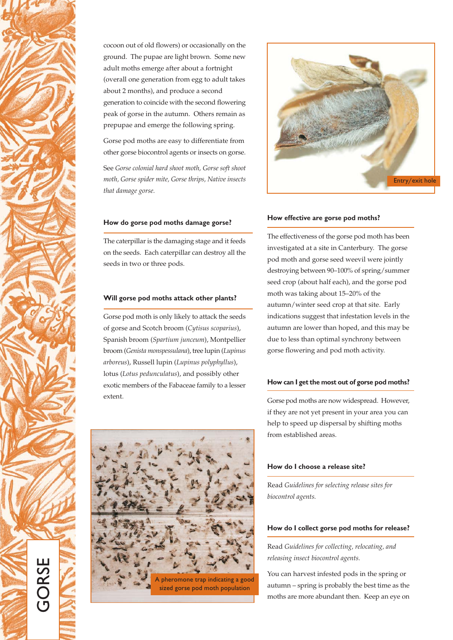

cocoon out of old flowers) or occasionally on the ground. The pupae are light brown. Some new adult moths emerge after about a fortnight (overall one generation from egg to adult takes about 2 months), and produce a second generation to coincide with the second flowering peak of gorse in the autumn. Others remain as prepupae and emerge the following spring.

Gorse pod moths are easy to differentiate from other gorse biocontrol agents or insects on gorse.

See Gorse colonial hard shoot moth, Gorse soft shoot moth, Gorse spider mite, Gorse thrips, Native insects that damage gorse.

## How do gorse pod moths damage gorse?

The caterpillar is the damaging stage and it feeds on the seeds. Each caterpillar can destroy all the seeds in two or three pods.

### Will gorse pod moths attack other plants?

Gorse pod moth is only likely to attack the seeds of gorse and Scotch broom (Cytisus scoparius), Spanish broom (Spartium junceum), Montpellier broom (Genista monspessulana), tree lupin (Lupinus arboreus), Russell lupin (Lupinus polyphyllus), lotus (Lotus pedunculatus), and possibly other exotic members of the Fabaceae family to a lesser extent.





### How effective are gorse pod moths?

The effectiveness of the gorse pod moth has been investigated at a site in Canterbury. The gorse pod moth and gorse seed weevil were jointly destroying between 90-100% of spring/summer seed crop (about half each), and the gorse pod moth was taking about 15-20% of the autumn/winter seed crop at that site. Early indications suggest that infestation levels in the autumn are lower than hoped, and this may be due to less than optimal synchrony between gorse flowering and pod moth activity.

### How can I get the most out of gorse pod moths?

Gorse pod moths are now widespread. However, if they are not yet present in your area you can help to speed up dispersal by shifting moths from established areas.

### How do I choose a release site?

Read Guidelines for selecting release sites for biocontrol agents.

#### How do I collect gorse pod moths for release?

Read Guidelines for collecting, relocating, and releasing insect biocontrol agents.

You can harvest infested pods in the spring or autumn - spring is probably the best time as the moths are more abundant then. Keep an eye on